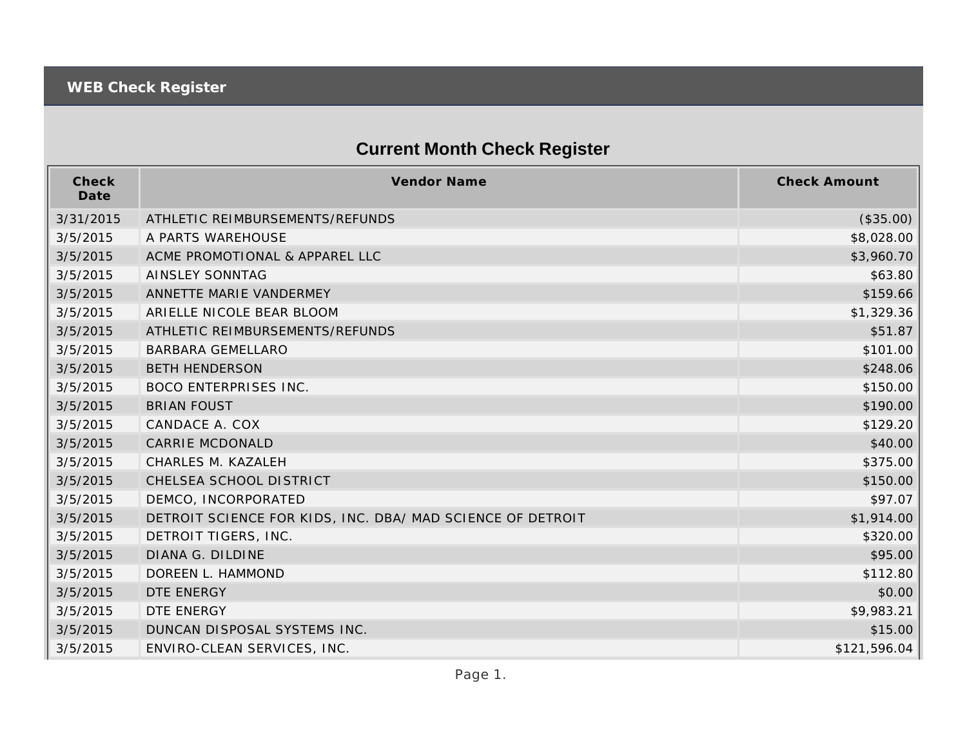## **Current Month Check Register**

| Check<br>Date | <b>Vendor Name</b>                                         | <b>Check Amount</b> |
|---------------|------------------------------------------------------------|---------------------|
| 3/31/2015     | ATHLETIC REIMBURSEMENTS/REFUNDS                            | (\$35.00)           |
| 3/5/2015      | A PARTS WAREHOUSE                                          | \$8,028.00          |
| 3/5/2015      | ACME PROMOTIONAL & APPAREL LLC                             | \$3,960.70          |
| 3/5/2015      | AINSLEY SONNTAG                                            | \$63.80             |
| 3/5/2015      | ANNETTE MARIE VANDERMEY                                    | \$159.66            |
| 3/5/2015      | ARIELLE NICOLE BEAR BLOOM                                  | \$1,329.36          |
| 3/5/2015      | ATHLETIC REIMBURSEMENTS/REFUNDS                            | \$51.87             |
| 3/5/2015      | <b>BARBARA GEMELLARO</b>                                   | \$101.00            |
| 3/5/2015      | <b>BETH HENDERSON</b>                                      | \$248.06            |
| 3/5/2015      | <b>BOCO ENTERPRISES INC.</b>                               | \$150.00            |
| 3/5/2015      | <b>BRIAN FOUST</b>                                         | \$190.00            |
| 3/5/2015      | CANDACE A. COX                                             | \$129.20            |
| 3/5/2015      | <b>CARRIE MCDONALD</b>                                     | \$40.00             |
| 3/5/2015      | CHARLES M. KAZALEH                                         | \$375.00            |
| 3/5/2015      | CHELSEA SCHOOL DISTRICT                                    | \$150.00            |
| 3/5/2015      | DEMCO, INCORPORATED                                        | \$97.07             |
| 3/5/2015      | DETROIT SCIENCE FOR KIDS, INC. DBA/ MAD SCIENCE OF DETROIT | \$1,914.00          |
| 3/5/2015      | DETROIT TIGERS, INC.                                       | \$320.00            |
| 3/5/2015      | DIANA G. DILDINE                                           | \$95.00             |
| 3/5/2015      | DOREEN L. HAMMOND                                          | \$112.80            |
| 3/5/2015      | DTE ENERGY                                                 | \$0.00              |
| 3/5/2015      | DTE ENERGY                                                 | \$9,983.21          |
| 3/5/2015      | DUNCAN DISPOSAL SYSTEMS INC.                               | \$15.00             |
| 3/5/2015      | ENVIRO-CLEAN SERVICES, INC.                                | \$121,596.04        |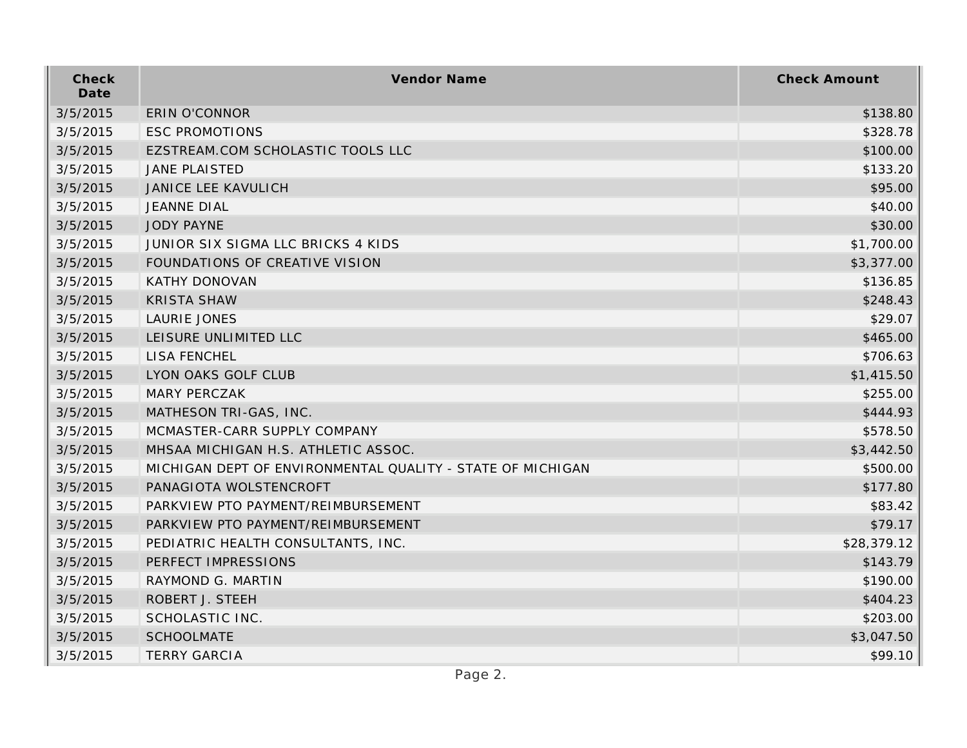| Check<br>Date | Vendor Name                                                | <b>Check Amount</b> |
|---------------|------------------------------------------------------------|---------------------|
| 3/5/2015      | <b>ERIN O'CONNOR</b>                                       | \$138.80            |
| 3/5/2015      | <b>ESC PROMOTIONS</b>                                      | \$328.78            |
| 3/5/2015      | EZSTREAM.COM SCHOLASTIC TOOLS LLC                          | \$100.00            |
| 3/5/2015      | <b>JANE PLAISTED</b>                                       | \$133.20            |
| 3/5/2015      | <b>JANICE LEE KAVULICH</b>                                 | \$95.00             |
| 3/5/2015      | <b>JEANNE DIAL</b>                                         | \$40.00             |
| 3/5/2015      | <b>JODY PAYNE</b>                                          | \$30.00             |
| 3/5/2015      | JUNIOR SIX SIGMA LLC BRICKS 4 KIDS                         | \$1,700.00          |
| 3/5/2015      | FOUNDATIONS OF CREATIVE VISION                             | \$3,377.00          |
| 3/5/2015      | <b>KATHY DONOVAN</b>                                       | \$136.85            |
| 3/5/2015      | <b>KRISTA SHAW</b>                                         | \$248.43            |
| 3/5/2015      | LAURIE JONES                                               | \$29.07             |
| 3/5/2015      | LEISURE UNLIMITED LLC                                      | \$465.00            |
| 3/5/2015      | LISA FENCHEL                                               | \$706.63            |
| 3/5/2015      | LYON OAKS GOLF CLUB                                        | \$1,415.50          |
| 3/5/2015      | <b>MARY PERCZAK</b>                                        | \$255.00            |
| 3/5/2015      | MATHESON TRI-GAS, INC.                                     | \$444.93            |
| 3/5/2015      | MCMASTER-CARR SUPPLY COMPANY                               | \$578.50            |
| 3/5/2015      | MHSAA MICHIGAN H.S. ATHLETIC ASSOC.                        | \$3,442.50          |
| 3/5/2015      | MICHIGAN DEPT OF ENVIRONMENTAL QUALITY - STATE OF MICHIGAN | \$500.00            |
| 3/5/2015      | PANAGIOTA WOLSTENCROFT                                     | \$177.80            |
| 3/5/2015      | PARKVIEW PTO PAYMENT/REIMBURSEMENT                         | \$83.42             |
| 3/5/2015      | PARKVIEW PTO PAYMENT/REIMBURSEMENT                         | \$79.17             |
| 3/5/2015      | PEDIATRIC HEALTH CONSULTANTS, INC.                         | \$28,379.12         |
| 3/5/2015      | PERFECT IMPRESSIONS                                        | \$143.79            |
| 3/5/2015      | RAYMOND G. MARTIN                                          | \$190.00            |
| 3/5/2015      | ROBERT J. STEEH                                            | \$404.23            |
| 3/5/2015      | SCHOLASTIC INC.                                            | \$203.00            |
| 3/5/2015      | <b>SCHOOLMATE</b>                                          | \$3,047.50          |
| 3/5/2015      | <b>TERRY GARCIA</b>                                        | \$99.10             |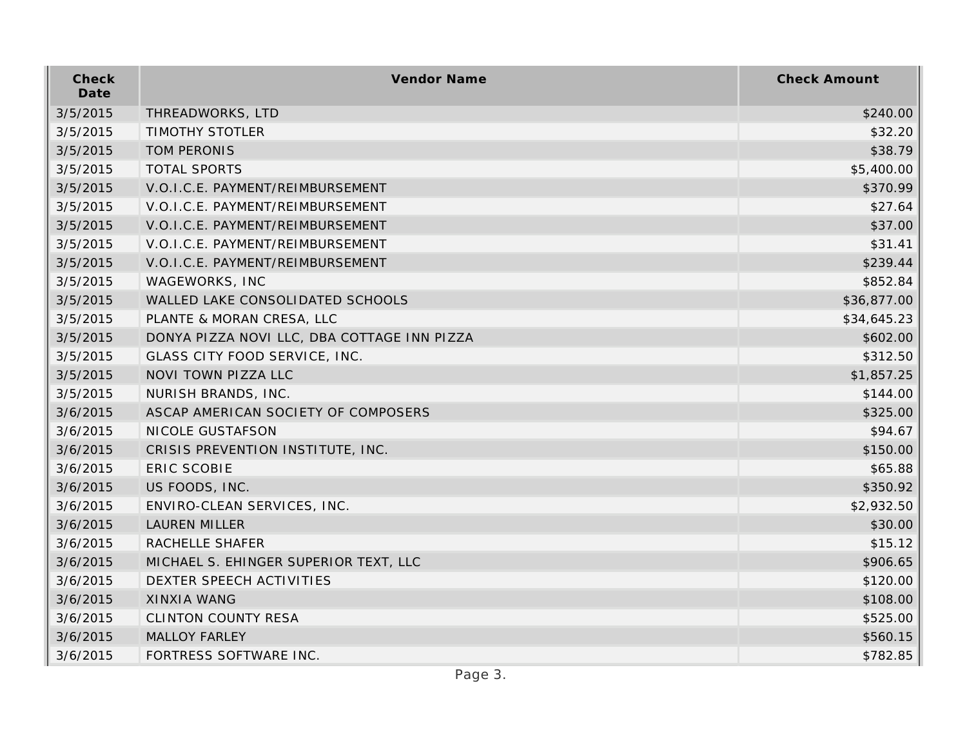| Check<br>Date | Vendor Name                                 | <b>Check Amount</b> |
|---------------|---------------------------------------------|---------------------|
| 3/5/2015      | THREADWORKS, LTD                            | \$240.00            |
| 3/5/2015      | <b>TIMOTHY STOTLER</b>                      | \$32.20             |
| 3/5/2015      | <b>TOM PERONIS</b>                          | \$38.79             |
| 3/5/2015      | <b>TOTAL SPORTS</b>                         | \$5,400.00          |
| 3/5/2015      | V.O.I.C.E. PAYMENT/REIMBURSEMENT            | \$370.99            |
| 3/5/2015      | V.O.I.C.E. PAYMENT/REIMBURSEMENT            | \$27.64             |
| 3/5/2015      | V.O.I.C.E. PAYMENT/REIMBURSEMENT            | \$37.00             |
| 3/5/2015      | V.O.I.C.E. PAYMENT/REIMBURSEMENT            | \$31.41             |
| 3/5/2015      | V.O.I.C.E. PAYMENT/REIMBURSEMENT            | \$239.44            |
| 3/5/2015      | WAGEWORKS, INC                              | \$852.84            |
| 3/5/2015      | WALLED LAKE CONSOLIDATED SCHOOLS            | \$36,877.00         |
| 3/5/2015      | PLANTE & MORAN CRESA, LLC                   | \$34,645.23         |
| 3/5/2015      | DONYA PIZZA NOVI LLC, DBA COTTAGE INN PIZZA | \$602.00            |
| 3/5/2015      | GLASS CITY FOOD SERVICE, INC.               | \$312.50            |
| 3/5/2015      | NOVI TOWN PIZZA LLC                         | \$1,857.25          |
| 3/5/2015      | NURISH BRANDS, INC.                         | \$144.00            |
| 3/6/2015      | ASCAP AMERICAN SOCIETY OF COMPOSERS         | \$325.00            |
| 3/6/2015      | NICOLE GUSTAFSON                            | \$94.67             |
| 3/6/2015      | CRISIS PREVENTION INSTITUTE, INC.           | \$150.00            |
| 3/6/2015      | ERIC SCOBIE                                 | \$65.88             |
| 3/6/2015      | US FOODS, INC.                              | \$350.92            |
| 3/6/2015      | ENVIRO-CLEAN SERVICES, INC.                 | \$2,932.50          |
| 3/6/2015      | <b>LAUREN MILLER</b>                        | \$30.00             |
| 3/6/2015      | RACHELLE SHAFER                             | \$15.12             |
| 3/6/2015      | MICHAEL S. EHINGER SUPERIOR TEXT, LLC       | \$906.65            |
| 3/6/2015      | DEXTER SPEECH ACTIVITIES                    | \$120.00            |
| 3/6/2015      | <b>XINXIA WANG</b>                          | \$108.00            |
| 3/6/2015      | <b>CLINTON COUNTY RESA</b>                  | \$525.00            |
| 3/6/2015      | <b>MALLOY FARLEY</b>                        | \$560.15            |
| 3/6/2015      | FORTRESS SOFTWARE INC.                      | \$782.85            |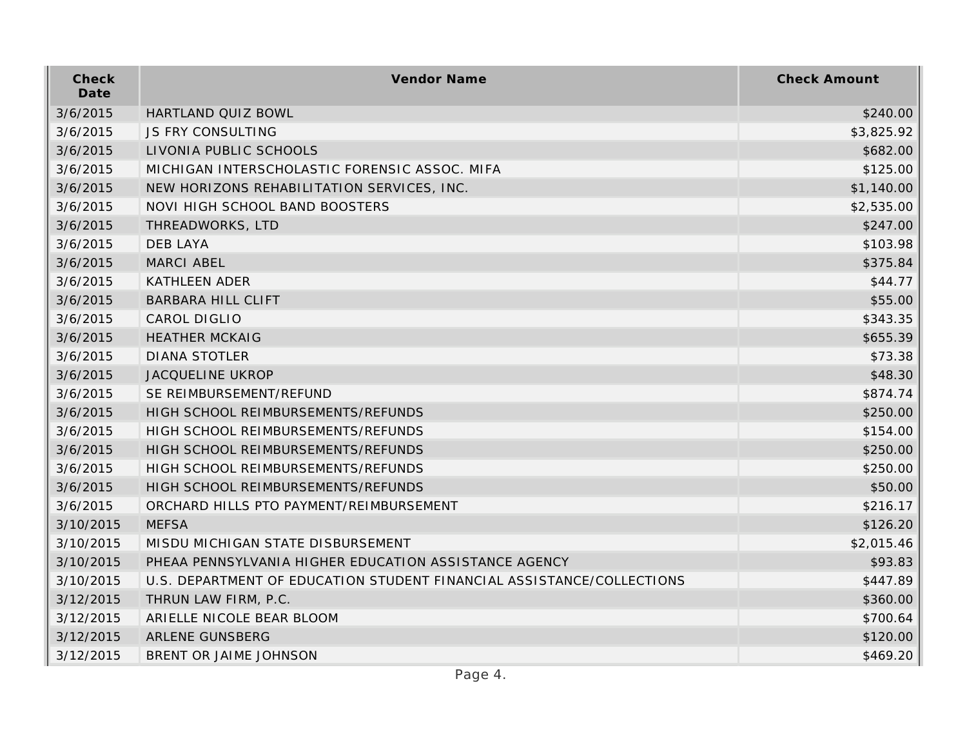| Check<br>Date | Vendor Name                                                           | <b>Check Amount</b> |
|---------------|-----------------------------------------------------------------------|---------------------|
| 3/6/2015      | HARTLAND QUIZ BOWL                                                    | \$240.00            |
| 3/6/2015      | <b>JS FRY CONSULTING</b>                                              | \$3,825.92          |
| 3/6/2015      | LIVONIA PUBLIC SCHOOLS                                                | \$682.00            |
| 3/6/2015      | MICHIGAN INTERSCHOLASTIC FORENSIC ASSOC. MIFA                         | \$125.00            |
| 3/6/2015      | NEW HORIZONS REHABILITATION SERVICES, INC.                            | \$1,140.00          |
| 3/6/2015      | NOVI HIGH SCHOOL BAND BOOSTERS                                        | \$2,535.00          |
| 3/6/2015      | THREADWORKS, LTD                                                      | \$247.00            |
| 3/6/2015      | <b>DEB LAYA</b>                                                       | \$103.98            |
| 3/6/2015      | <b>MARCI ABEL</b>                                                     | \$375.84            |
| 3/6/2015      | <b>KATHLEEN ADER</b>                                                  | \$44.77             |
| 3/6/2015      | <b>BARBARA HILL CLIFT</b>                                             | \$55.00             |
| 3/6/2015      | CAROL DIGLIO                                                          | \$343.35            |
| 3/6/2015      | <b>HEATHER MCKAIG</b>                                                 | \$655.39            |
| 3/6/2015      | <b>DIANA STOTLER</b>                                                  | \$73.38             |
| 3/6/2015      | <b>JACQUELINE UKROP</b>                                               | \$48.30             |
| 3/6/2015      | SE REIMBURSEMENT/REFUND                                               | \$874.74            |
| 3/6/2015      | HIGH SCHOOL REIMBURSEMENTS/REFUNDS                                    | \$250.00            |
| 3/6/2015      | HIGH SCHOOL REIMBURSEMENTS/REFUNDS                                    | \$154.00            |
| 3/6/2015      | HIGH SCHOOL REIMBURSEMENTS/REFUNDS                                    | \$250.00            |
| 3/6/2015      | HIGH SCHOOL REIMBURSEMENTS/REFUNDS                                    | \$250.00            |
| 3/6/2015      | HIGH SCHOOL REIMBURSEMENTS/REFUNDS                                    | \$50.00             |
| 3/6/2015      | ORCHARD HILLS PTO PAYMENT/REIMBURSEMENT                               | \$216.17            |
| 3/10/2015     | <b>MEFSA</b>                                                          | \$126.20            |
| 3/10/2015     | MISDU MICHIGAN STATE DISBURSEMENT                                     | \$2,015.46          |
| 3/10/2015     | PHEAA PENNSYLVANIA HIGHER EDUCATION ASSISTANCE AGENCY                 | \$93.83             |
| 3/10/2015     | U.S. DEPARTMENT OF EDUCATION STUDENT FINANCIAL ASSISTANCE/COLLECTIONS | \$447.89            |
| 3/12/2015     | THRUN LAW FIRM, P.C.                                                  | \$360.00            |
| 3/12/2015     | ARIELLE NICOLE BEAR BLOOM                                             | \$700.64            |
| 3/12/2015     | ARLENE GUNSBERG                                                       | \$120.00            |
| 3/12/2015     | BRENT OR JAIME JOHNSON                                                | \$469.20            |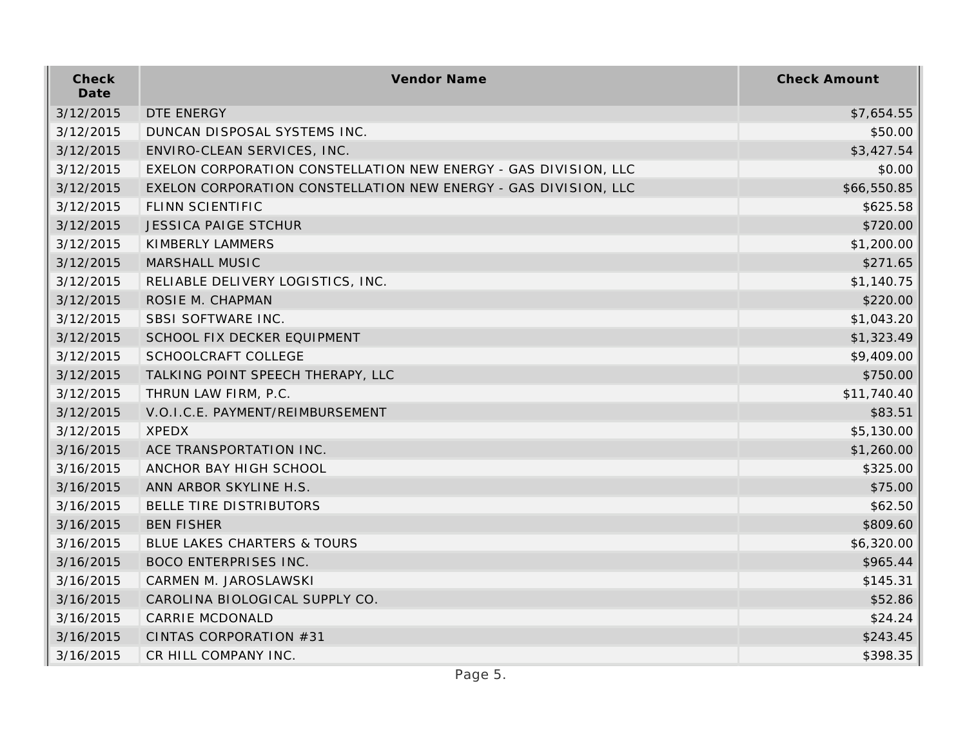| Check<br>Date | Vendor Name                                                     | <b>Check Amount</b> |
|---------------|-----------------------------------------------------------------|---------------------|
| 3/12/2015     | DTE ENERGY                                                      | \$7,654.55          |
| 3/12/2015     | DUNCAN DISPOSAL SYSTEMS INC.                                    | \$50.00             |
| 3/12/2015     | ENVIRO-CLEAN SERVICES, INC.                                     | \$3,427.54          |
| 3/12/2015     | EXELON CORPORATION CONSTELLATION NEW ENERGY - GAS DIVISION, LLC | \$0.00              |
| 3/12/2015     | EXELON CORPORATION CONSTELLATION NEW ENERGY - GAS DIVISION, LLC | \$66,550.85         |
| 3/12/2015     | FLINN SCIENTIFIC                                                | \$625.58            |
| 3/12/2015     | <b>JESSICA PAIGE STCHUR</b>                                     | \$720.00            |
| 3/12/2015     | KIMBERLY LAMMERS                                                | \$1,200.00          |
| 3/12/2015     | MARSHALL MUSIC                                                  | \$271.65            |
| 3/12/2015     | RELIABLE DELIVERY LOGISTICS, INC.                               | \$1,140.75          |
| 3/12/2015     | ROSIE M. CHAPMAN                                                | \$220.00            |
| 3/12/2015     | SBSI SOFTWARE INC.                                              | \$1,043.20          |
| 3/12/2015     | SCHOOL FIX DECKER EQUIPMENT                                     | \$1,323.49          |
| 3/12/2015     | SCHOOLCRAFT COLLEGE                                             | \$9,409.00          |
| 3/12/2015     | TALKING POINT SPEECH THERAPY, LLC                               | \$750.00            |
| 3/12/2015     | THRUN LAW FIRM, P.C.                                            | \$11,740.40         |
| 3/12/2015     | V.O.I.C.E. PAYMENT/REIMBURSEMENT                                | \$83.51             |
| 3/12/2015     | <b>XPEDX</b>                                                    | \$5,130.00          |
| 3/16/2015     | ACE TRANSPORTATION INC.                                         | \$1,260.00          |
| 3/16/2015     | ANCHOR BAY HIGH SCHOOL                                          | \$325.00            |
| 3/16/2015     | ANN ARBOR SKYLINE H.S.                                          | \$75.00             |
| 3/16/2015     | BELLE TIRE DISTRIBUTORS                                         | \$62.50             |
| 3/16/2015     | <b>BEN FISHER</b>                                               | \$809.60            |
| 3/16/2015     | BLUE LAKES CHARTERS & TOURS                                     | \$6,320.00          |
| 3/16/2015     | <b>BOCO ENTERPRISES INC.</b>                                    | \$965.44            |
| 3/16/2015     | CARMEN M. JAROSLAWSKI                                           | \$145.31            |
| 3/16/2015     | CAROLINA BIOLOGICAL SUPPLY CO.                                  | \$52.86             |
| 3/16/2015     | CARRIE MCDONALD                                                 | \$24.24             |
| 3/16/2015     | CINTAS CORPORATION #31                                          | \$243.45            |
| 3/16/2015     | CR HILL COMPANY INC.                                            | \$398.35            |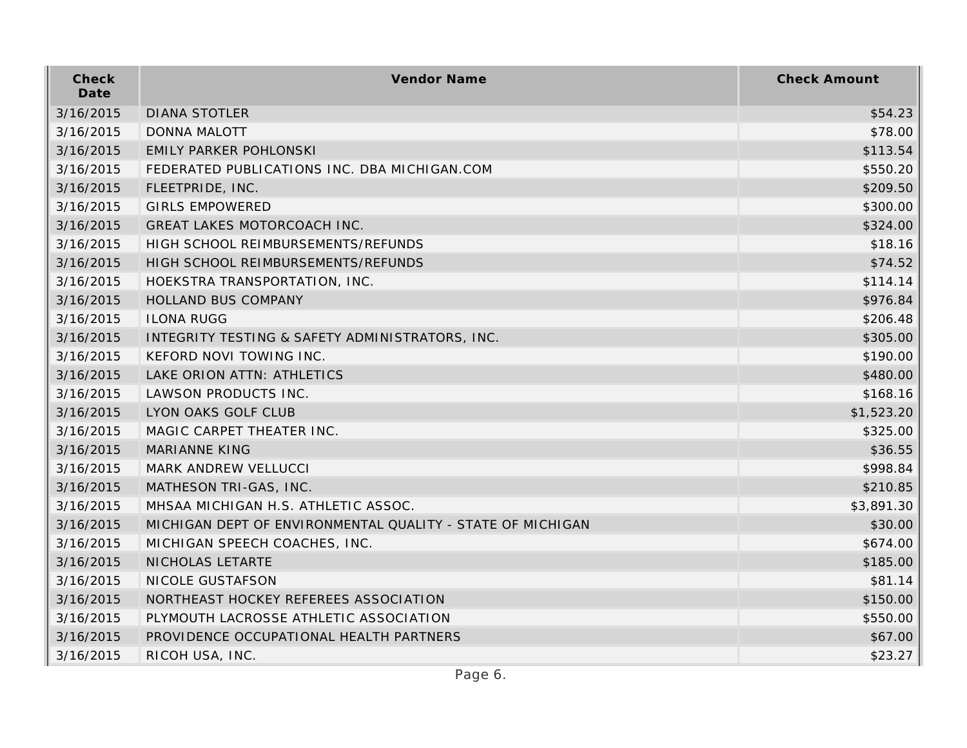| Check<br>Date | Vendor Name                                                | <b>Check Amount</b> |
|---------------|------------------------------------------------------------|---------------------|
| 3/16/2015     | <b>DIANA STOTLER</b>                                       | \$54.23             |
| 3/16/2015     | <b>DONNA MALOTT</b>                                        | \$78.00             |
| 3/16/2015     | <b>EMILY PARKER POHLONSKI</b>                              | \$113.54            |
| 3/16/2015     | FEDERATED PUBLICATIONS INC. DBA MICHIGAN.COM               | \$550.20            |
| 3/16/2015     | FLEETPRIDE, INC.                                           | \$209.50            |
| 3/16/2015     | <b>GIRLS EMPOWERED</b>                                     | \$300.00            |
| 3/16/2015     | GREAT LAKES MOTORCOACH INC.                                | \$324.00            |
| 3/16/2015     | HIGH SCHOOL REIMBURSEMENTS/REFUNDS                         | \$18.16             |
| 3/16/2015     | HIGH SCHOOL REIMBURSEMENTS/REFUNDS                         | \$74.52             |
| 3/16/2015     | HOEKSTRA TRANSPORTATION, INC.                              | \$114.14            |
| 3/16/2015     | <b>HOLLAND BUS COMPANY</b>                                 | \$976.84            |
| 3/16/2015     | <b>ILONA RUGG</b>                                          | \$206.48            |
| 3/16/2015     | INTEGRITY TESTING & SAFETY ADMINISTRATORS, INC.            | \$305.00            |
| 3/16/2015     | KEFORD NOVI TOWING INC.                                    | \$190.00            |
| 3/16/2015     | LAKE ORION ATTN: ATHLETICS                                 | \$480.00            |
| 3/16/2015     | LAWSON PRODUCTS INC.                                       | \$168.16            |
| 3/16/2015     | LYON OAKS GOLF CLUB                                        | \$1,523.20          |
| 3/16/2015     | MAGIC CARPET THEATER INC.                                  | \$325.00            |
| 3/16/2015     | <b>MARIANNE KING</b>                                       | \$36.55             |
| 3/16/2015     | MARK ANDREW VELLUCCI                                       | \$998.84            |
| 3/16/2015     | MATHESON TRI-GAS, INC.                                     | \$210.85            |
| 3/16/2015     | MHSAA MICHIGAN H.S. ATHLETIC ASSOC.                        | \$3,891.30          |
| 3/16/2015     | MICHIGAN DEPT OF ENVIRONMENTAL QUALITY - STATE OF MICHIGAN | \$30.00             |
| 3/16/2015     | MICHIGAN SPEECH COACHES, INC.                              | \$674.00            |
| 3/16/2015     | NICHOLAS LETARTE                                           | \$185.00            |
| 3/16/2015     | NICOLE GUSTAFSON                                           | \$81.14             |
| 3/16/2015     | NORTHEAST HOCKEY REFEREES ASSOCIATION                      | \$150.00            |
| 3/16/2015     | PLYMOUTH LACROSSE ATHLETIC ASSOCIATION                     | \$550.00            |
| 3/16/2015     | PROVIDENCE OCCUPATIONAL HEALTH PARTNERS                    | \$67.00             |
| 3/16/2015     | RICOH USA, INC.                                            | \$23.27             |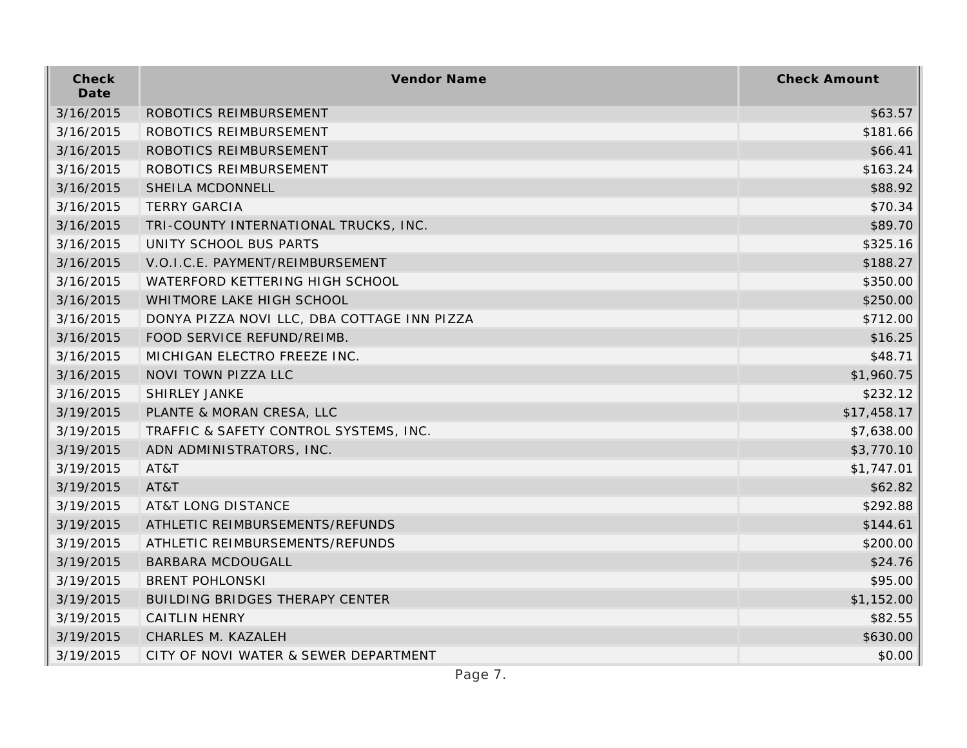| Check<br>Date | Vendor Name                                 | <b>Check Amount</b> |
|---------------|---------------------------------------------|---------------------|
| 3/16/2015     | ROBOTICS REIMBURSEMENT                      | \$63.57             |
| 3/16/2015     | ROBOTICS REIMBURSEMENT                      | \$181.66            |
| 3/16/2015     | ROBOTICS REIMBURSEMENT                      | \$66.41             |
| 3/16/2015     | ROBOTICS REIMBURSEMENT                      | \$163.24            |
| 3/16/2015     | SHEILA MCDONNELL                            | \$88.92             |
| 3/16/2015     | <b>TERRY GARCIA</b>                         | \$70.34             |
| 3/16/2015     | TRI-COUNTY INTERNATIONAL TRUCKS, INC.       | \$89.70             |
| 3/16/2015     | UNITY SCHOOL BUS PARTS                      | \$325.16            |
| 3/16/2015     | V.O.I.C.E. PAYMENT/REIMBURSEMENT            | \$188.27            |
| 3/16/2015     | WATERFORD KETTERING HIGH SCHOOL             | \$350.00            |
| 3/16/2015     | WHITMORE LAKE HIGH SCHOOL                   | \$250.00            |
| 3/16/2015     | DONYA PIZZA NOVI LLC, DBA COTTAGE INN PIZZA | \$712.00            |
| 3/16/2015     | FOOD SERVICE REFUND/REIMB.                  | \$16.25             |
| 3/16/2015     | MICHIGAN ELECTRO FREEZE INC.                | \$48.71             |
| 3/16/2015     | NOVI TOWN PIZZA LLC                         | \$1,960.75          |
| 3/16/2015     | SHIRLEY JANKE                               | \$232.12            |
| 3/19/2015     | PLANTE & MORAN CRESA, LLC                   | \$17,458.17         |
| 3/19/2015     | TRAFFIC & SAFETY CONTROL SYSTEMS, INC.      | \$7,638.00          |
| 3/19/2015     | ADN ADMINISTRATORS, INC.                    | \$3,770.10          |
| 3/19/2015     | AT&T                                        | \$1,747.01          |
| 3/19/2015     | AT&T                                        | \$62.82             |
| 3/19/2015     | <b>AT&amp;T LONG DISTANCE</b>               | \$292.88            |
| 3/19/2015     | ATHLETIC REIMBURSEMENTS/REFUNDS             | \$144.61            |
| 3/19/2015     | ATHLETIC REIMBURSEMENTS/REFUNDS             | \$200.00            |
| 3/19/2015     | <b>BARBARA MCDOUGALL</b>                    | \$24.76             |
| 3/19/2015     | <b>BRENT POHLONSKI</b>                      | \$95.00             |
| 3/19/2015     | <b>BUILDING BRIDGES THERAPY CENTER</b>      | \$1,152.00          |
| 3/19/2015     | <b>CAITLIN HENRY</b>                        | \$82.55             |
| 3/19/2015     | CHARLES M. KAZALEH                          | \$630.00            |
| 3/19/2015     | CITY OF NOVI WATER & SEWER DEPARTMENT       | \$0.00              |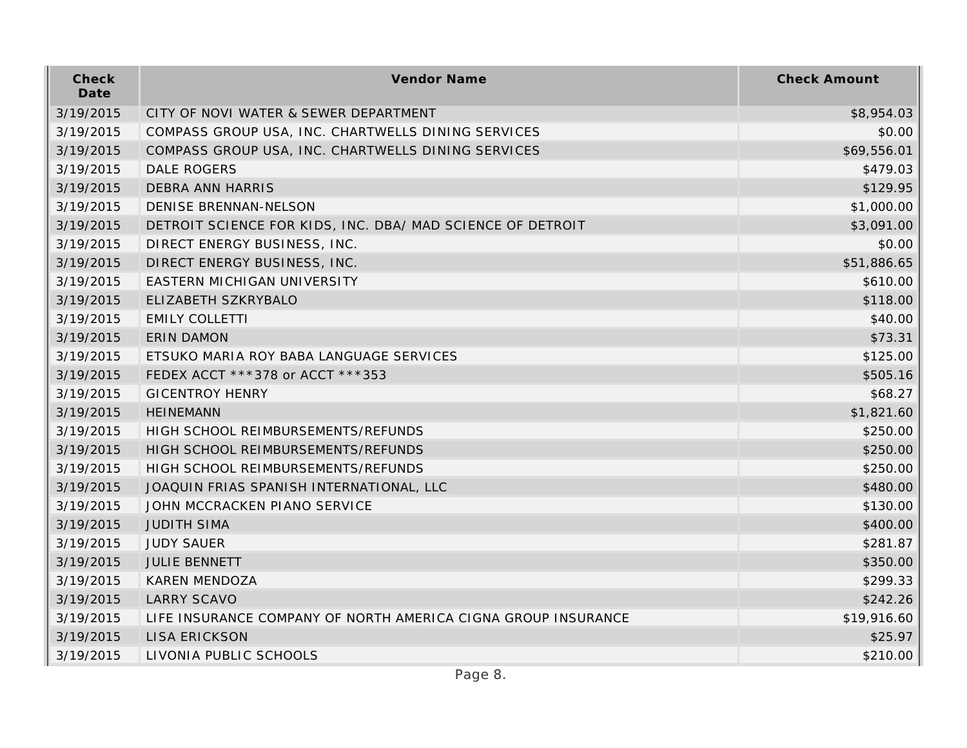| Check<br>Date | Vendor Name                                                   | <b>Check Amount</b> |
|---------------|---------------------------------------------------------------|---------------------|
| 3/19/2015     | CITY OF NOVI WATER & SEWER DEPARTMENT                         | \$8,954.03          |
| 3/19/2015     | COMPASS GROUP USA, INC. CHARTWELLS DINING SERVICES            | \$0.00              |
| 3/19/2015     | COMPASS GROUP USA, INC. CHARTWELLS DINING SERVICES            | \$69,556.01         |
| 3/19/2015     | <b>DALE ROGERS</b>                                            | \$479.03            |
| 3/19/2015     | <b>DEBRA ANN HARRIS</b>                                       | \$129.95            |
| 3/19/2015     | DENISE BRENNAN-NELSON                                         | \$1,000.00          |
| 3/19/2015     | DETROIT SCIENCE FOR KIDS, INC. DBA/ MAD SCIENCE OF DETROIT    | \$3,091.00          |
| 3/19/2015     | DIRECT ENERGY BUSINESS, INC.                                  | \$0.00              |
| 3/19/2015     | DIRECT ENERGY BUSINESS, INC.                                  | \$51,886.65         |
| 3/19/2015     | EASTERN MICHIGAN UNIVERSITY                                   | \$610.00            |
| 3/19/2015     | ELIZABETH SZKRYBALO                                           | \$118.00            |
| 3/19/2015     | <b>EMILY COLLETTI</b>                                         | \$40.00             |
| 3/19/2015     | <b>ERIN DAMON</b>                                             | \$73.31             |
| 3/19/2015     | ETSUKO MARIA ROY BABA LANGUAGE SERVICES                       | \$125.00            |
| 3/19/2015     | FEDEX ACCT ***378 or ACCT ***353                              | \$505.16            |
| 3/19/2015     | <b>GICENTROY HENRY</b>                                        | \$68.27             |
| 3/19/2015     | <b>HEINEMANN</b>                                              | \$1,821.60          |
| 3/19/2015     | HIGH SCHOOL REIMBURSEMENTS/REFUNDS                            | \$250.00            |
| 3/19/2015     | HIGH SCHOOL REIMBURSEMENTS/REFUNDS                            | \$250.00            |
| 3/19/2015     | HIGH SCHOOL REIMBURSEMENTS/REFUNDS                            | \$250.00            |
| 3/19/2015     | JOAQUIN FRIAS SPANISH INTERNATIONAL, LLC                      | \$480.00            |
| 3/19/2015     | JOHN MCCRACKEN PIANO SERVICE                                  | \$130.00            |
| 3/19/2015     | <b>JUDITH SIMA</b>                                            | \$400.00            |
| 3/19/2015     | <b>JUDY SAUER</b>                                             | \$281.87            |
| 3/19/2015     | <b>JULIE BENNETT</b>                                          | \$350.00            |
| 3/19/2015     | <b>KAREN MENDOZA</b>                                          | \$299.33            |
| 3/19/2015     | <b>LARRY SCAVO</b>                                            | \$242.26            |
| 3/19/2015     | LIFE INSURANCE COMPANY OF NORTH AMERICA CIGNA GROUP INSURANCE | \$19,916.60         |
| 3/19/2015     | <b>LISA ERICKSON</b>                                          | \$25.97             |
| 3/19/2015     | LIVONIA PUBLIC SCHOOLS                                        | \$210.00            |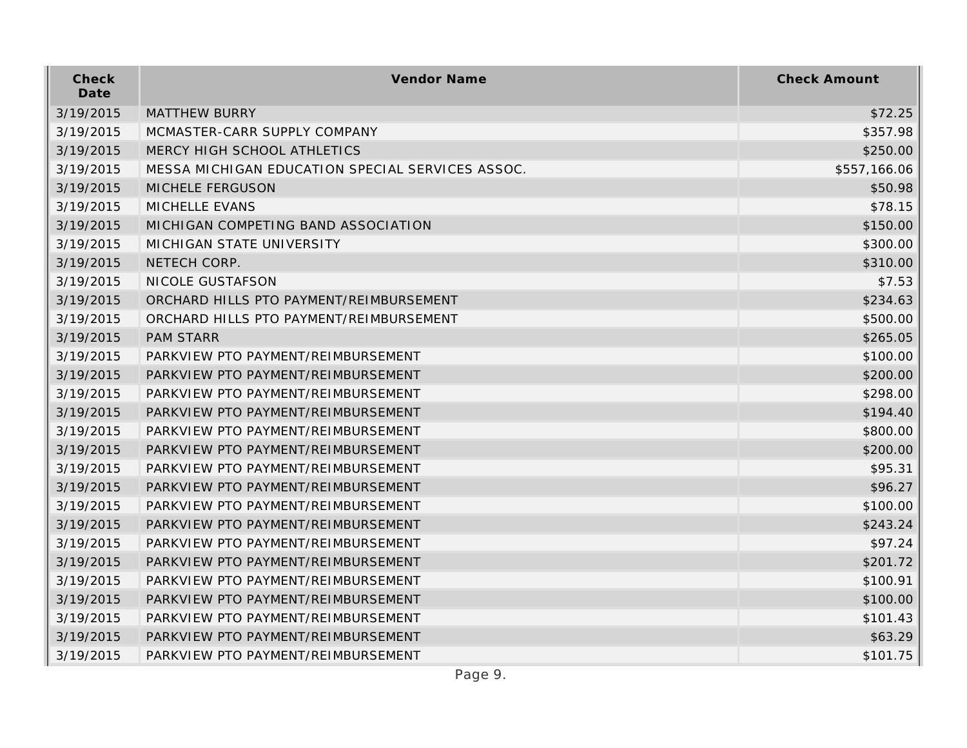| Check<br>Date | <b>Vendor Name</b>                               | <b>Check Amount</b> |
|---------------|--------------------------------------------------|---------------------|
| 3/19/2015     | <b>MATTHEW BURRY</b>                             | \$72.25             |
| 3/19/2015     | MCMASTER-CARR SUPPLY COMPANY                     | \$357.98            |
| 3/19/2015     | MERCY HIGH SCHOOL ATHLETICS                      | \$250.00            |
| 3/19/2015     | MESSA MICHIGAN EDUCATION SPECIAL SERVICES ASSOC. | \$557,166.06        |
| 3/19/2015     | <b>MICHELE FERGUSON</b>                          | \$50.98             |
| 3/19/2015     | MICHELLE EVANS                                   | \$78.15             |
| 3/19/2015     | MICHIGAN COMPETING BAND ASSOCIATION              | \$150.00            |
| 3/19/2015     | MICHIGAN STATE UNIVERSITY                        | \$300.00            |
| 3/19/2015     | NETECH CORP.                                     | \$310.00            |
| 3/19/2015     | NICOLE GUSTAFSON                                 | \$7.53              |
| 3/19/2015     | ORCHARD HILLS PTO PAYMENT/REIMBURSEMENT          | \$234.63            |
| 3/19/2015     | ORCHARD HILLS PTO PAYMENT/REIMBURSEMENT          | \$500.00            |
| 3/19/2015     | <b>PAM STARR</b>                                 | \$265.05            |
| 3/19/2015     | PARKVIEW PTO PAYMENT/REIMBURSEMENT               | \$100.00            |
| 3/19/2015     | PARKVIEW PTO PAYMENT/REIMBURSEMENT               | \$200.00            |
| 3/19/2015     | PARKVIEW PTO PAYMENT/REIMBURSEMENT               | \$298.00            |
| 3/19/2015     | PARKVIEW PTO PAYMENT/REIMBURSEMENT               | \$194.40            |
| 3/19/2015     | PARKVIEW PTO PAYMENT/REIMBURSEMENT               | \$800.00            |
| 3/19/2015     | PARKVIEW PTO PAYMENT/REIMBURSEMENT               | \$200.00            |
| 3/19/2015     | PARKVIEW PTO PAYMENT/REIMBURSEMENT               | \$95.31             |
| 3/19/2015     | PARKVIEW PTO PAYMENT/REIMBURSEMENT               | \$96.27             |
| 3/19/2015     | PARKVIEW PTO PAYMENT/REIMBURSEMENT               | \$100.00            |
| 3/19/2015     | PARKVIEW PTO PAYMENT/REIMBURSEMENT               | \$243.24            |
| 3/19/2015     | PARKVIEW PTO PAYMENT/REIMBURSEMENT               | \$97.24             |
| 3/19/2015     | PARKVIEW PTO PAYMENT/REIMBURSEMENT               | \$201.72            |
| 3/19/2015     | PARKVIEW PTO PAYMENT/REIMBURSEMENT               | \$100.91            |
| 3/19/2015     | PARKVIEW PTO PAYMENT/REIMBURSEMENT               | \$100.00            |
| 3/19/2015     | PARKVIEW PTO PAYMENT/REIMBURSEMENT               | \$101.43            |
| 3/19/2015     | PARKVIEW PTO PAYMENT/REIMBURSEMENT               | \$63.29             |
| 3/19/2015     | PARKVIEW PTO PAYMENT/REIMBURSEMENT               | \$101.75            |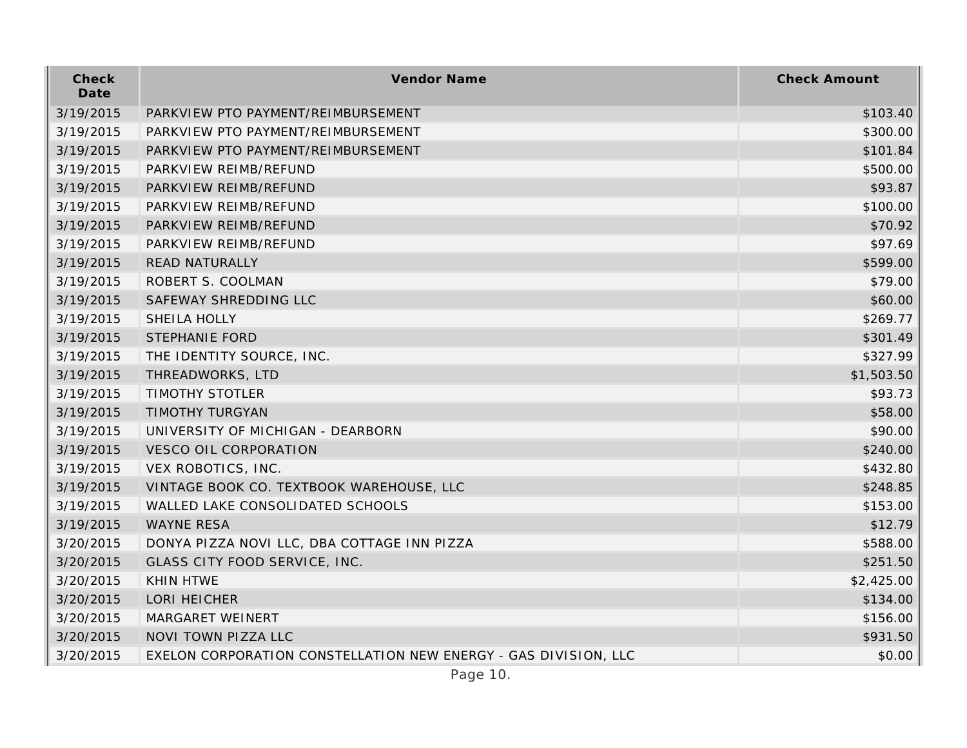| Check<br>Date | Vendor Name                                                     | <b>Check Amount</b> |
|---------------|-----------------------------------------------------------------|---------------------|
| 3/19/2015     | PARKVIEW PTO PAYMENT/REIMBURSEMENT                              | \$103.40            |
| 3/19/2015     | PARKVIEW PTO PAYMENT/REIMBURSEMENT                              | \$300.00            |
| 3/19/2015     | PARKVIEW PTO PAYMENT/REIMBURSEMENT                              | \$101.84            |
| 3/19/2015     | PARKVIEW REIMB/REFUND                                           | \$500.00            |
| 3/19/2015     | PARKVIEW REIMB/REFUND                                           | \$93.87             |
| 3/19/2015     | PARKVIEW REIMB/REFUND                                           | \$100.00            |
| 3/19/2015     | PARKVIEW REIMB/REFUND                                           | \$70.92             |
| 3/19/2015     | PARKVIEW REIMB/REFUND                                           | \$97.69             |
| 3/19/2015     | <b>READ NATURALLY</b>                                           | \$599.00            |
| 3/19/2015     | ROBERT S. COOLMAN                                               | \$79.00             |
| 3/19/2015     | SAFEWAY SHREDDING LLC                                           | \$60.00             |
| 3/19/2015     | SHEILA HOLLY                                                    | \$269.77            |
| 3/19/2015     | <b>STEPHANIE FORD</b>                                           | \$301.49            |
| 3/19/2015     | THE IDENTITY SOURCE, INC.                                       | \$327.99            |
| 3/19/2015     | THREADWORKS, LTD                                                | \$1,503.50          |
| 3/19/2015     | <b>TIMOTHY STOTLER</b>                                          | \$93.73             |
| 3/19/2015     | TIMOTHY TURGYAN                                                 | \$58.00             |
| 3/19/2015     | UNIVERSITY OF MICHIGAN - DEARBORN                               | \$90.00             |
| 3/19/2015     | <b>VESCO OIL CORPORATION</b>                                    | \$240.00            |
| 3/19/2015     | VEX ROBOTICS, INC.                                              | \$432.80            |
| 3/19/2015     | VINTAGE BOOK CO. TEXTBOOK WAREHOUSE, LLC                        | \$248.85            |
| 3/19/2015     | WALLED LAKE CONSOLIDATED SCHOOLS                                | \$153.00            |
| 3/19/2015     | <b>WAYNE RESA</b>                                               | \$12.79             |
| 3/20/2015     | DONYA PIZZA NOVI LLC, DBA COTTAGE INN PIZZA                     | \$588.00            |
| 3/20/2015     | GLASS CITY FOOD SERVICE, INC.                                   | \$251.50            |
| 3/20/2015     | KHIN HTWE                                                       | \$2,425.00          |
| 3/20/2015     | LORI HEICHER                                                    | \$134.00            |
| 3/20/2015     | MARGARET WEINERT                                                | \$156.00            |
| 3/20/2015     | NOVI TOWN PIZZA LLC                                             | \$931.50            |
| 3/20/2015     | EXELON CORPORATION CONSTELLATION NEW ENERGY - GAS DIVISION, LLC | \$0.00              |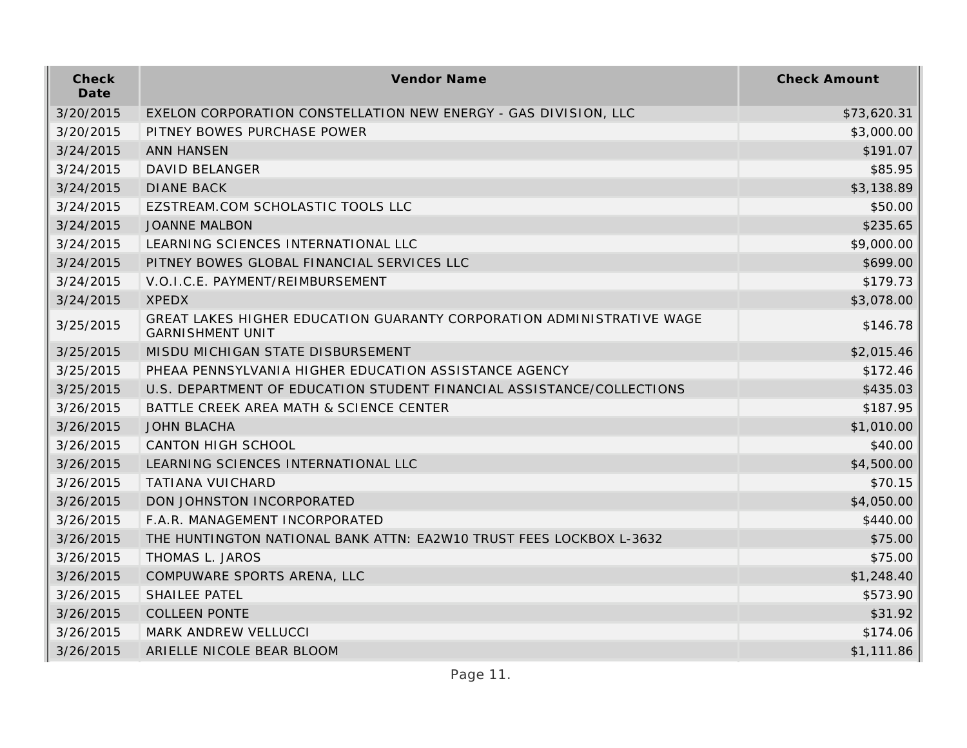| Check<br>Date | Vendor Name                                                                                      | <b>Check Amount</b> |
|---------------|--------------------------------------------------------------------------------------------------|---------------------|
| 3/20/2015     | EXELON CORPORATION CONSTELLATION NEW ENERGY - GAS DIVISION, LLC                                  | \$73,620.31         |
| 3/20/2015     | PITNEY BOWES PURCHASE POWER                                                                      | \$3,000.00          |
| 3/24/2015     | <b>ANN HANSEN</b>                                                                                | \$191.07            |
| 3/24/2015     | <b>DAVID BELANGER</b>                                                                            | \$85.95             |
| 3/24/2015     | <b>DIANE BACK</b>                                                                                | \$3,138.89          |
| 3/24/2015     | EZSTREAM.COM SCHOLASTIC TOOLS LLC                                                                | \$50.00             |
| 3/24/2015     | <b>JOANNE MALBON</b>                                                                             | \$235.65            |
| 3/24/2015     | LEARNING SCIENCES INTERNATIONAL LLC                                                              | \$9,000.00          |
| 3/24/2015     | PITNEY BOWES GLOBAL FINANCIAL SERVICES LLC                                                       | \$699.00            |
| 3/24/2015     | V.O.I.C.E. PAYMENT/REIMBURSEMENT                                                                 | \$179.73            |
| 3/24/2015     | <b>XPEDX</b>                                                                                     | \$3,078.00          |
| 3/25/2015     | GREAT LAKES HIGHER EDUCATION GUARANTY CORPORATION ADMINISTRATIVE WAGE<br><b>GARNISHMENT UNIT</b> | \$146.78            |
| 3/25/2015     | MISDU MICHIGAN STATE DISBURSEMENT                                                                | \$2,015.46          |
| 3/25/2015     | PHEAA PENNSYLVANIA HIGHER EDUCATION ASSISTANCE AGENCY                                            | \$172.46            |
| 3/25/2015     | U.S. DEPARTMENT OF EDUCATION STUDENT FINANCIAL ASSISTANCE/COLLECTIONS                            | \$435.03            |
| 3/26/2015     | BATTLE CREEK AREA MATH & SCIENCE CENTER                                                          | \$187.95            |
| 3/26/2015     | <b>JOHN BLACHA</b>                                                                               | \$1,010.00          |
| 3/26/2015     | <b>CANTON HIGH SCHOOL</b>                                                                        | \$40.00             |
| 3/26/2015     | LEARNING SCIENCES INTERNATIONAL LLC                                                              | \$4,500.00          |
| 3/26/2015     | <b>TATIANA VUICHARD</b>                                                                          | \$70.15             |
| 3/26/2015     | DON JOHNSTON INCORPORATED                                                                        | \$4,050.00          |
| 3/26/2015     | F.A.R. MANAGEMENT INCORPORATED                                                                   | \$440.00            |
| 3/26/2015     | THE HUNTINGTON NATIONAL BANK ATTN: EA2W10 TRUST FEES LOCKBOX L-3632                              | \$75.00             |
| 3/26/2015     | THOMAS L. JAROS                                                                                  | \$75.00             |
| 3/26/2015     | COMPUWARE SPORTS ARENA, LLC                                                                      | \$1,248.40          |
| 3/26/2015     | SHAILEE PATEL                                                                                    | \$573.90            |
| 3/26/2015     | <b>COLLEEN PONTE</b>                                                                             | \$31.92             |
| 3/26/2015     | MARK ANDREW VELLUCCI                                                                             | \$174.06            |
| 3/26/2015     | ARIELLE NICOLE BEAR BLOOM                                                                        | \$1,111.86          |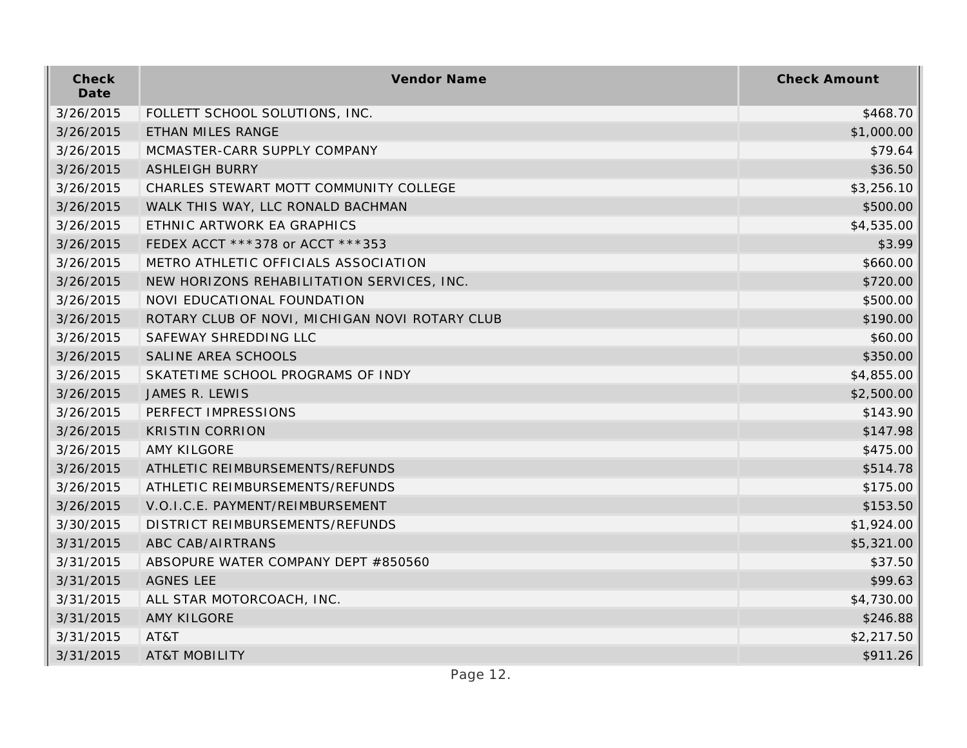| Check<br>Date | Vendor Name                                    | <b>Check Amount</b> |
|---------------|------------------------------------------------|---------------------|
| 3/26/2015     | FOLLETT SCHOOL SOLUTIONS, INC.                 | \$468.70            |
| 3/26/2015     | ETHAN MILES RANGE                              | \$1,000.00          |
| 3/26/2015     | MCMASTER-CARR SUPPLY COMPANY                   | \$79.64             |
| 3/26/2015     | <b>ASHLEIGH BURRY</b>                          | \$36.50             |
| 3/26/2015     | CHARLES STEWART MOTT COMMUNITY COLLEGE         | \$3,256.10          |
| 3/26/2015     | WALK THIS WAY, LLC RONALD BACHMAN              | \$500.00            |
| 3/26/2015     | ETHNIC ARTWORK EA GRAPHICS                     | \$4,535.00          |
| 3/26/2015     | FEDEX ACCT ***378 or ACCT ***353               | \$3.99              |
| 3/26/2015     | METRO ATHLETIC OFFICIALS ASSOCIATION           | \$660.00            |
| 3/26/2015     | NEW HORIZONS REHABILITATION SERVICES, INC.     | \$720.00            |
| 3/26/2015     | NOVI EDUCATIONAL FOUNDATION                    | \$500.00            |
| 3/26/2015     | ROTARY CLUB OF NOVI, MICHIGAN NOVI ROTARY CLUB | \$190.00            |
| 3/26/2015     | SAFEWAY SHREDDING LLC                          | \$60.00             |
| 3/26/2015     | SALINE AREA SCHOOLS                            | \$350.00            |
| 3/26/2015     | SKATETIME SCHOOL PROGRAMS OF INDY              | \$4,855.00          |
| 3/26/2015     | JAMES R. LEWIS                                 | \$2,500.00          |
| 3/26/2015     | PERFECT IMPRESSIONS                            | \$143.90            |
| 3/26/2015     | <b>KRISTIN CORRION</b>                         | \$147.98            |
| 3/26/2015     | <b>AMY KILGORE</b>                             | \$475.00            |
| 3/26/2015     | ATHLETIC REIMBURSEMENTS/REFUNDS                | \$514.78            |
| 3/26/2015     | ATHLETIC REIMBURSEMENTS/REFUNDS                | \$175.00            |
| 3/26/2015     | V.O.I.C.E. PAYMENT/REIMBURSEMENT               | \$153.50            |
| 3/30/2015     | DISTRICT REIMBURSEMENTS/REFUNDS                | \$1,924.00          |
| 3/31/2015     | ABC CAB/AIRTRANS                               | \$5,321.00          |
| 3/31/2015     | ABSOPURE WATER COMPANY DEPT #850560            | \$37.50             |
| 3/31/2015     | <b>AGNES LEE</b>                               | \$99.63             |
| 3/31/2015     | ALL STAR MOTORCOACH, INC.                      | \$4,730.00          |
| 3/31/2015     | <b>AMY KILGORE</b>                             | \$246.88            |
| 3/31/2015     | AT&T                                           | \$2,217.50          |
| 3/31/2015     | <b>AT&amp;T MOBILITY</b>                       | \$911.26            |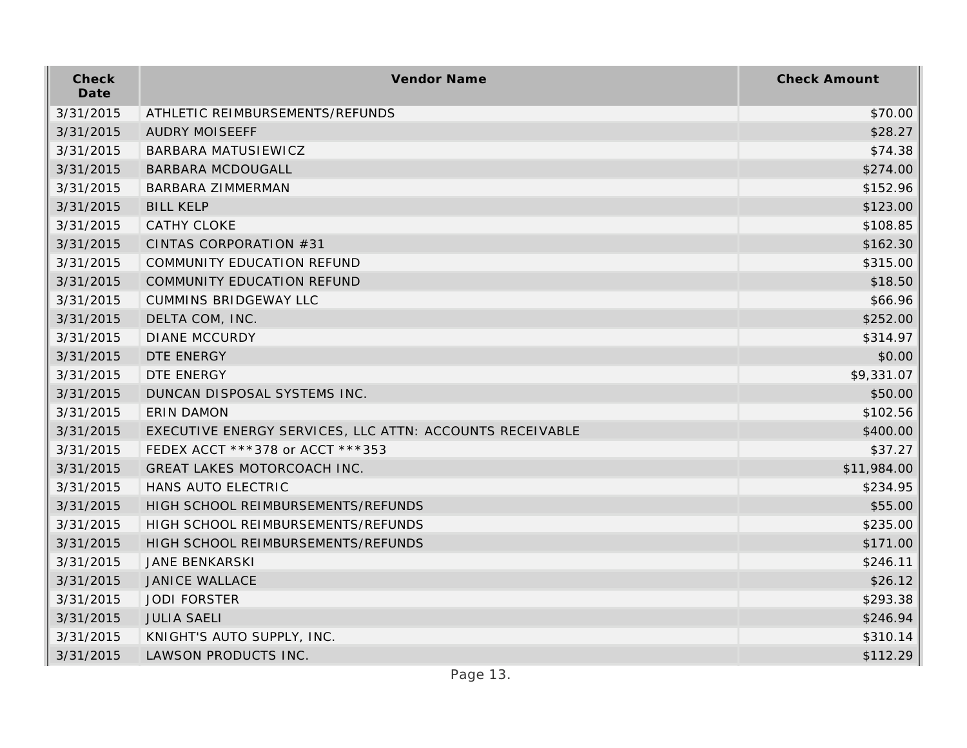| Check<br>Date | Vendor Name                                              | <b>Check Amount</b> |
|---------------|----------------------------------------------------------|---------------------|
| 3/31/2015     | ATHLETIC REIMBURSEMENTS/REFUNDS                          | \$70.00             |
| 3/31/2015     | <b>AUDRY MOISEEFF</b>                                    | \$28.27             |
| 3/31/2015     | <b>BARBARA MATUSIEWICZ</b>                               | \$74.38             |
| 3/31/2015     | <b>BARBARA MCDOUGALL</b>                                 | \$274.00            |
| 3/31/2015     | BARBARA ZIMMERMAN                                        | \$152.96            |
| 3/31/2015     | <b>BILL KELP</b>                                         | \$123.00            |
| 3/31/2015     | <b>CATHY CLOKE</b>                                       | \$108.85            |
| 3/31/2015     | CINTAS CORPORATION #31                                   | \$162.30            |
| 3/31/2015     | COMMUNITY EDUCATION REFUND                               | \$315.00            |
| 3/31/2015     | COMMUNITY EDUCATION REFUND                               | \$18.50             |
| 3/31/2015     | <b>CUMMINS BRIDGEWAY LLC</b>                             | \$66.96             |
| 3/31/2015     | DELTA COM, INC.                                          | \$252.00            |
| 3/31/2015     | <b>DIANE MCCURDY</b>                                     | \$314.97            |
| 3/31/2015     | DTE ENERGY                                               | \$0.00              |
| 3/31/2015     | DTE ENERGY                                               | \$9,331.07          |
| 3/31/2015     | DUNCAN DISPOSAL SYSTEMS INC.                             | \$50.00             |
| 3/31/2015     | <b>ERIN DAMON</b>                                        | \$102.56            |
| 3/31/2015     | EXECUTIVE ENERGY SERVICES, LLC ATTN: ACCOUNTS RECEIVABLE | \$400.00            |
| 3/31/2015     | FEDEX ACCT ***378 or ACCT ***353                         | \$37.27             |
| 3/31/2015     | GREAT LAKES MOTORCOACH INC.                              | \$11,984.00         |
| 3/31/2015     | HANS AUTO ELECTRIC                                       | \$234.95            |
| 3/31/2015     | HIGH SCHOOL REIMBURSEMENTS/REFUNDS                       | \$55.00             |
| 3/31/2015     | HIGH SCHOOL REIMBURSEMENTS/REFUNDS                       | \$235.00            |
| 3/31/2015     | HIGH SCHOOL REIMBURSEMENTS/REFUNDS                       | \$171.00            |
| 3/31/2015     | <b>JANE BENKARSKI</b>                                    | \$246.11            |
| 3/31/2015     | <b>JANICE WALLACE</b>                                    | \$26.12             |
| 3/31/2015     | <b>JODI FORSTER</b>                                      | \$293.38            |
| 3/31/2015     | <b>JULIA SAELI</b>                                       | \$246.94            |
| 3/31/2015     | KNIGHT'S AUTO SUPPLY, INC.                               | \$310.14            |
| 3/31/2015     | LAWSON PRODUCTS INC.                                     | \$112.29            |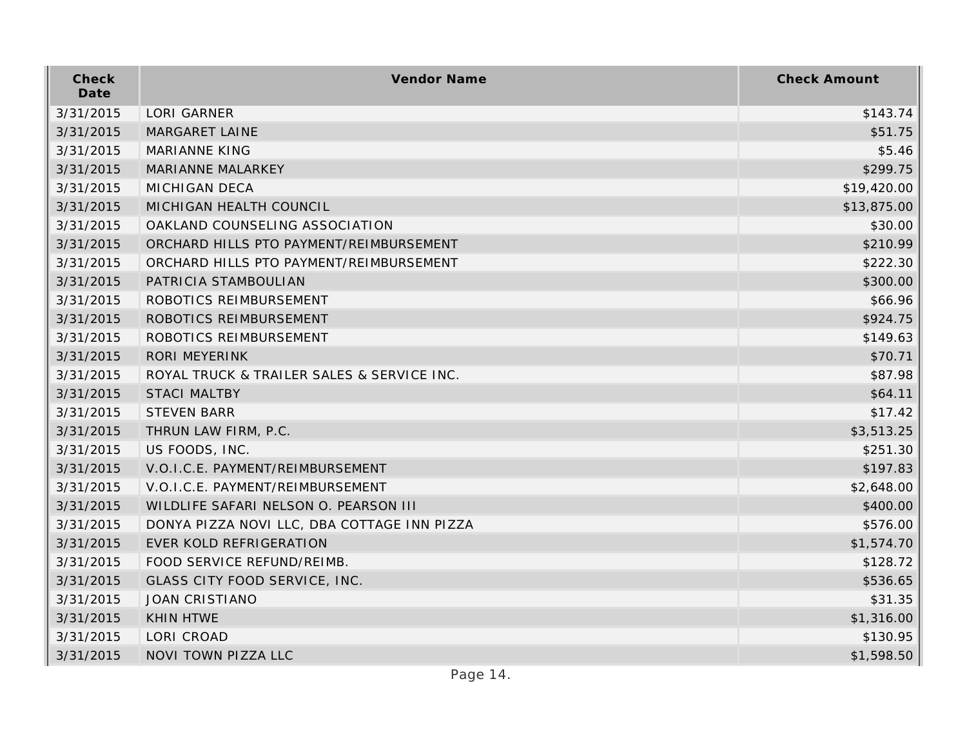| Check<br>Date | Vendor Name                                 | <b>Check Amount</b> |
|---------------|---------------------------------------------|---------------------|
| 3/31/2015     | <b>LORI GARNER</b>                          | \$143.74            |
| 3/31/2015     | <b>MARGARET LAINE</b>                       | \$51.75             |
| 3/31/2015     | <b>MARIANNE KING</b>                        | \$5.46              |
| 3/31/2015     | MARIANNE MALARKEY                           | \$299.75            |
| 3/31/2015     | <b>MICHIGAN DECA</b>                        | \$19,420.00         |
| 3/31/2015     | MICHIGAN HEALTH COUNCIL                     | \$13,875.00         |
| 3/31/2015     | OAKLAND COUNSELING ASSOCIATION              | \$30.00             |
| 3/31/2015     | ORCHARD HILLS PTO PAYMENT/REIMBURSEMENT     | \$210.99            |
| 3/31/2015     | ORCHARD HILLS PTO PAYMENT/REIMBURSEMENT     | \$222.30            |
| 3/31/2015     | PATRICIA STAMBOULIAN                        | \$300.00            |
| 3/31/2015     | ROBOTICS REIMBURSEMENT                      | \$66.96             |
| 3/31/2015     | ROBOTICS REIMBURSEMENT                      | \$924.75            |
| 3/31/2015     | ROBOTICS REIMBURSEMENT                      | \$149.63            |
| 3/31/2015     | <b>RORI MEYERINK</b>                        | \$70.71             |
| 3/31/2015     | ROYAL TRUCK & TRAILER SALES & SERVICE INC.  | \$87.98             |
| 3/31/2015     | <b>STACI MALTBY</b>                         | \$64.11             |
| 3/31/2015     | <b>STEVEN BARR</b>                          | \$17.42             |
| 3/31/2015     | THRUN LAW FIRM, P.C.                        | \$3,513.25          |
| 3/31/2015     | US FOODS, INC.                              | \$251.30            |
| 3/31/2015     | V.O.I.C.E. PAYMENT/REIMBURSEMENT            | \$197.83            |
| 3/31/2015     | V.O.I.C.E. PAYMENT/REIMBURSEMENT            | \$2,648.00          |
| 3/31/2015     | WILDLIFE SAFARI NELSON O. PEARSON III       | \$400.00            |
| 3/31/2015     | DONYA PIZZA NOVI LLC, DBA COTTAGE INN PIZZA | \$576.00            |
| 3/31/2015     | EVER KOLD REFRIGERATION                     | \$1,574.70          |
| 3/31/2015     | FOOD SERVICE REFUND/REIMB.                  | \$128.72            |
| 3/31/2015     | GLASS CITY FOOD SERVICE, INC.               | \$536.65            |
| 3/31/2015     | <b>JOAN CRISTIANO</b>                       | \$31.35             |
| 3/31/2015     | <b>KHIN HTWE</b>                            | \$1,316.00          |
| 3/31/2015     | LORI CROAD                                  | \$130.95            |
| 3/31/2015     | NOVI TOWN PIZZA LLC                         | \$1,598.50          |